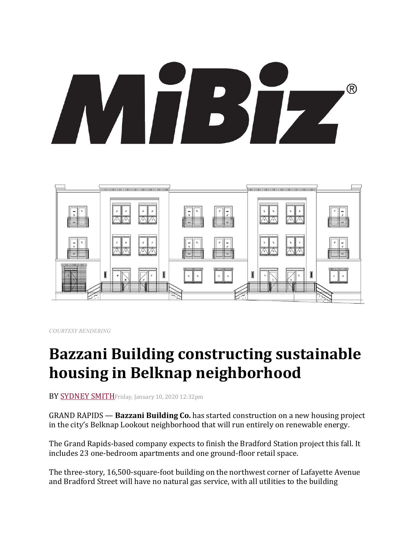# ® IT BS  $\mathbf{F}$



*COURTESY RENDERING*

## **Bazzani Building constructing sustainable housing in Belknap neighborhood**

BY SYDNEY SMITHFriday, January 10, 2020 12:32pm

GRAND RAPIDS — **Bazzani Building Co.** has started construction on a new housing project in the city's Belknap Lookout neighborhood that will run entirely on renewable energy.

The Grand Rapids-based company expects to finish the Bradford Station project this fall. It includes 23 one-bedroom apartments and one ground-floor retail space.

The three-story, 16,500-square-foot building on the northwest corner of Lafayette Avenue and Bradford Street will have no natural gas service, with all utilities to the building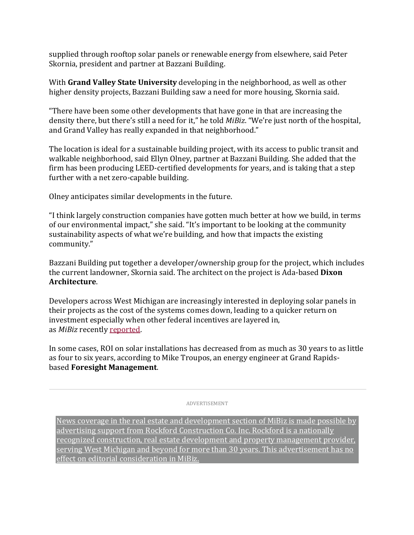supplied through rooftop solar panels or renewable energy from elsewhere, said Peter Skornia, president and partner at Bazzani Building.

With **Grand Valley State University** developing in the neighborhood, as well as other higher density projects, Bazzani Building saw a need for more housing, Skornia said.

"There have been some other developments that have gone in that are increasing the density there, but there's still a need for it," he told *MiBiz*. "We're just north of the hospital, and Grand Valley has really expanded in that neighborhood."

The location is ideal for a sustainable building project, with its access to public transit and walkable neighborhood, said Ellyn Olney, partner at Bazzani Building. She added that the firm has been producing LEED-certified developments for years, and is taking that a step further with a net zero-capable building.

Olney anticipates similar developments in the future.

"I think largely construction companies have gotten much better at how we build, in terms of our environmental impact," she said. "It's important to be looking at the community sustainability aspects of what we're building, and how that impacts the existing community."

Bazzani Building put together a developer/ownership group for the project, which includes the current landowner, Skornia said. The architect on the project is Ada-based **Dixon Architecture**.

Developers across West Michigan are increasingly interested in deploying solar panels in their projects as the cost of the systems comes down, leading to a quicker return on investment especially when other federal incentives are layered in, as *MiBiz* recently reported.

In some cases, ROI on solar installations has decreased from as much as 30 years to as little as four to six years, according to Mike Troupos, an energy engineer at Grand Rapidsbased **Foresight Management**.

ADVERTISEMENT

News coverage in the real estate and development section of MiBiz is made possible by advertising support from Rockford Construction Co. Inc. Rockford is a nationally recognized construction, real estate development and property management provider, serving West Michigan and beyond for more than 30 years. This advertisement has no effect on editorial consideration in MiBiz.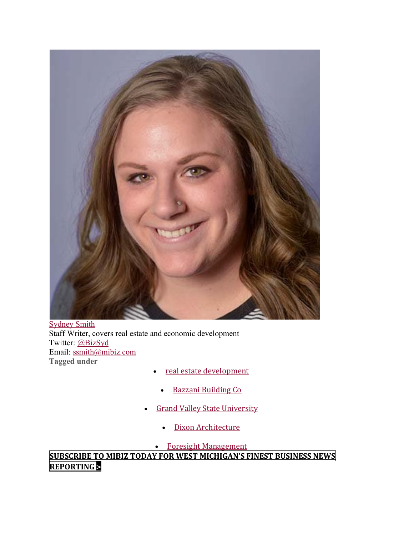

Sydney Smith Staff Writer, covers real estate and economic development Twitter: @BizSyd Email: ssmith@mibiz.com **Tagged under**

- real estate development
- Bazzani Building Co
- Grand Valley State University
	- Dixon Architecture

• Foresight Management

**SUBSCRIBE TO MIBIZ TODAY FOR WEST MICHIGAN'S FINEST BUSINESS NEWS REPORTING >**